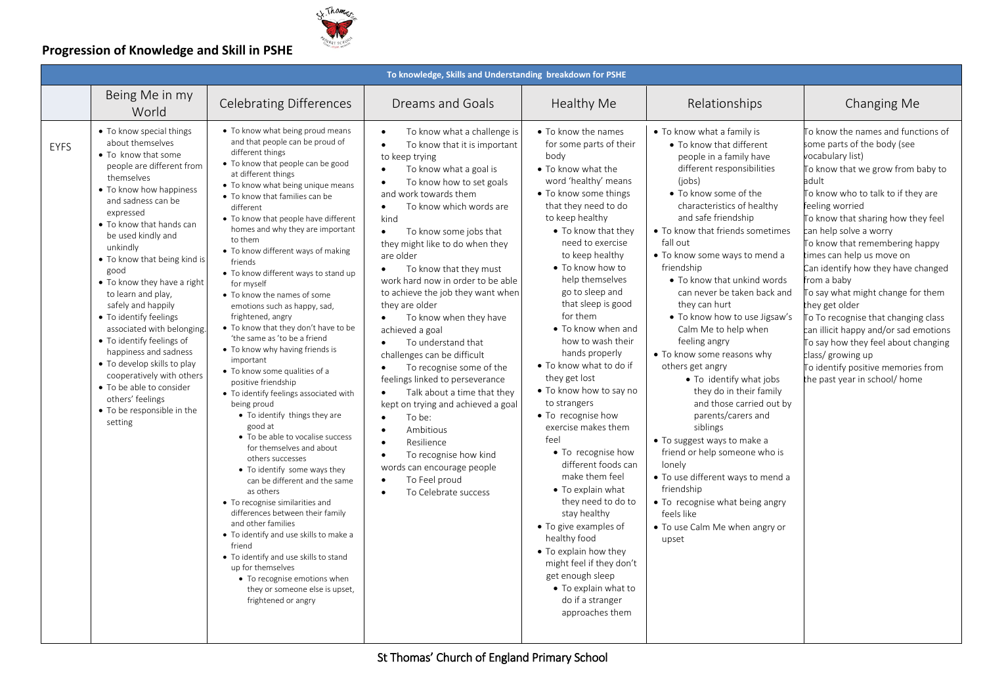

|      |                                                                                                                                                                                                                                                                                                                                                                                                                                                                                                                                                                                                                                  |                                                                                                                                                                                                                                                                                                                                                                                                                                                                                                                                                                                                                                                                                                                                                                                                                                                                                                                                                                                                                                                                                                                                                                                                                                                                                          | To knowledge, Skills and Understanding breakdown for PSHE                                                                                                                                                                                                                                                                                                                                                                                                                                                                                                                                                                                                                                                                                                                                                                                                                                                                                                                     |                                                                                                                                                                                                                                                                                                                                                                                                                                                                                                                                                                                                                                                                                                                                                                                                                                                        |                                                                                                                                                                                                                                                                                                                                                                                                                                                                                                                                                                                                                                                                                                                                                                                                                                                                |                                                                                                                                                                                                                                                                                                                                                                                                                                                                                                                                                                                                                                                           |
|------|----------------------------------------------------------------------------------------------------------------------------------------------------------------------------------------------------------------------------------------------------------------------------------------------------------------------------------------------------------------------------------------------------------------------------------------------------------------------------------------------------------------------------------------------------------------------------------------------------------------------------------|------------------------------------------------------------------------------------------------------------------------------------------------------------------------------------------------------------------------------------------------------------------------------------------------------------------------------------------------------------------------------------------------------------------------------------------------------------------------------------------------------------------------------------------------------------------------------------------------------------------------------------------------------------------------------------------------------------------------------------------------------------------------------------------------------------------------------------------------------------------------------------------------------------------------------------------------------------------------------------------------------------------------------------------------------------------------------------------------------------------------------------------------------------------------------------------------------------------------------------------------------------------------------------------|-------------------------------------------------------------------------------------------------------------------------------------------------------------------------------------------------------------------------------------------------------------------------------------------------------------------------------------------------------------------------------------------------------------------------------------------------------------------------------------------------------------------------------------------------------------------------------------------------------------------------------------------------------------------------------------------------------------------------------------------------------------------------------------------------------------------------------------------------------------------------------------------------------------------------------------------------------------------------------|--------------------------------------------------------------------------------------------------------------------------------------------------------------------------------------------------------------------------------------------------------------------------------------------------------------------------------------------------------------------------------------------------------------------------------------------------------------------------------------------------------------------------------------------------------------------------------------------------------------------------------------------------------------------------------------------------------------------------------------------------------------------------------------------------------------------------------------------------------|----------------------------------------------------------------------------------------------------------------------------------------------------------------------------------------------------------------------------------------------------------------------------------------------------------------------------------------------------------------------------------------------------------------------------------------------------------------------------------------------------------------------------------------------------------------------------------------------------------------------------------------------------------------------------------------------------------------------------------------------------------------------------------------------------------------------------------------------------------------|-----------------------------------------------------------------------------------------------------------------------------------------------------------------------------------------------------------------------------------------------------------------------------------------------------------------------------------------------------------------------------------------------------------------------------------------------------------------------------------------------------------------------------------------------------------------------------------------------------------------------------------------------------------|
|      | Being Me in my<br>World                                                                                                                                                                                                                                                                                                                                                                                                                                                                                                                                                                                                          | <b>Celebrating Differences</b>                                                                                                                                                                                                                                                                                                                                                                                                                                                                                                                                                                                                                                                                                                                                                                                                                                                                                                                                                                                                                                                                                                                                                                                                                                                           | Dreams and Goals                                                                                                                                                                                                                                                                                                                                                                                                                                                                                                                                                                                                                                                                                                                                                                                                                                                                                                                                                              | <b>Healthy Me</b>                                                                                                                                                                                                                                                                                                                                                                                                                                                                                                                                                                                                                                                                                                                                                                                                                                      | Relationships                                                                                                                                                                                                                                                                                                                                                                                                                                                                                                                                                                                                                                                                                                                                                                                                                                                  | Changing Me                                                                                                                                                                                                                                                                                                                                                                                                                                                                                                                                                                                                                                               |
| EYFS | • To know special things<br>about themselves<br>• To know that some<br>people are different from<br>themselves<br>• To know how happiness<br>and sadness can be<br>expressed<br>• To know that hands can<br>be used kindly and<br>unkindly<br>• To know that being kind is<br>good<br>• To know they have a right<br>to learn and play,<br>safely and happily<br>• To identify feelings<br>associated with belonging.<br>• To identify feelings of<br>happiness and sadness<br>• To develop skills to play<br>cooperatively with others<br>• To be able to consider<br>others' feelings<br>• To be responsible in the<br>setting | • To know what being proud means<br>and that people can be proud of<br>different things<br>• To know that people can be good<br>at different things<br>• To know what being unique means<br>• To know that families can be<br>different<br>• To know that people have different<br>homes and why they are important<br>to them<br>• To know different ways of making<br>friends<br>• To know different ways to stand up<br>for myself<br>• To know the names of some<br>emotions such as happy, sad,<br>frightened, angry<br>• To know that they don't have to be<br>'the same as 'to be a friend<br>• To know why having friends is<br>important<br>• To know some qualities of a<br>positive friendship<br>• To identify feelings associated with<br>being proud<br>• To identify things they are<br>good at<br>• To be able to vocalise success<br>for themselves and about<br>others successes<br>• To identify some ways they<br>can be different and the same<br>as others<br>• To recognise similarities and<br>differences between their family<br>and other families<br>• To identify and use skills to make a<br>friend<br>• To identify and use skills to stand<br>up for themselves<br>• To recognise emotions when<br>they or someone else is upset,<br>frightened or angry | To know what a challenge is<br>To know that it is important<br>$\bullet$<br>to keep trying<br>To know what a goal is<br>$\bullet$<br>To know how to set goals<br>$\bullet$<br>and work towards them<br>To know which words are<br>$\bullet$<br>kind<br>To know some jobs that<br>$\bullet$<br>they might like to do when they<br>are older<br>To know that they must<br>$\bullet$<br>work hard now in order to be able<br>to achieve the job they want when<br>they are older<br>To know when they have<br>$\bullet$<br>achieved a goal<br>To understand that<br>$\bullet$<br>challenges can be difficult<br>To recognise some of the<br>$\bullet$<br>feelings linked to perseverance<br>Talk about a time that they<br>$\bullet$<br>kept on trying and achieved a goal<br>To be:<br>$\bullet$<br>Ambitious<br>$\bullet$<br>Resilience<br>$\bullet$<br>To recognise how kind<br>$\bullet$<br>words can encourage people<br>To Feel proud<br>To Celebrate success<br>$\bullet$ | • To know the names<br>for some parts of their<br>body<br>• To know what the<br>word 'healthy' means<br>• To know some things<br>that they need to do<br>to keep healthy<br>• To know that they<br>need to exercise<br>to keep healthy<br>• To know how to<br>help themselves<br>go to sleep and<br>that sleep is good<br>for them<br>• To know when and<br>how to wash their<br>hands properly<br>• To know what to do if<br>they get lost<br>• To know how to say no<br>to strangers<br>• To recognise how<br>exercise makes them<br>feel<br>• To recognise how<br>different foods can<br>make them feel<br>• To explain what<br>they need to do to<br>stay healthy<br>• To give examples of<br>healthy food<br>• To explain how they<br>might feel if they don't<br>get enough sleep<br>• To explain what to<br>do if a stranger<br>approaches them | • To know what a family is<br>• To know that different<br>people in a family have<br>different responsibilities<br>(iobs)<br>• To know some of the<br>characteristics of healthy<br>and safe friendship<br>• To know that friends sometimes<br>fall out<br>• To know some ways to mend a<br>friendship<br>• To know that unkind words<br>can never be taken back and<br>they can hurt<br>• To know how to use Jigsaw's<br>Calm Me to help when<br>feeling angry<br>• To know some reasons why<br>others get angry<br>• To identify what jobs<br>they do in their family<br>and those carried out by<br>parents/carers and<br>siblings<br>• To suggest ways to make a<br>friend or help someone who is<br>lonely<br>• To use different ways to mend a<br>friendship<br>• To recognise what being angry<br>feels like<br>• To use Calm Me when angry or<br>upset | To know the names and functions of<br>some parts of the body (see<br>vocabulary list)<br>To know that we grow from baby to<br>adult<br>To know who to talk to if they are<br>feeling worried<br>To know that sharing how they feel<br>can help solve a worry<br>To know that remembering happy<br>times can help us move on<br>Can identify how they have changed<br>from a baby<br>To say what might change for them<br>they get older<br>To To recognise that changing class<br>can illicit happy and/or sad emotions<br>To say how they feel about changing<br>class/growing up<br>To identify positive memories from<br>the past year in school/ home |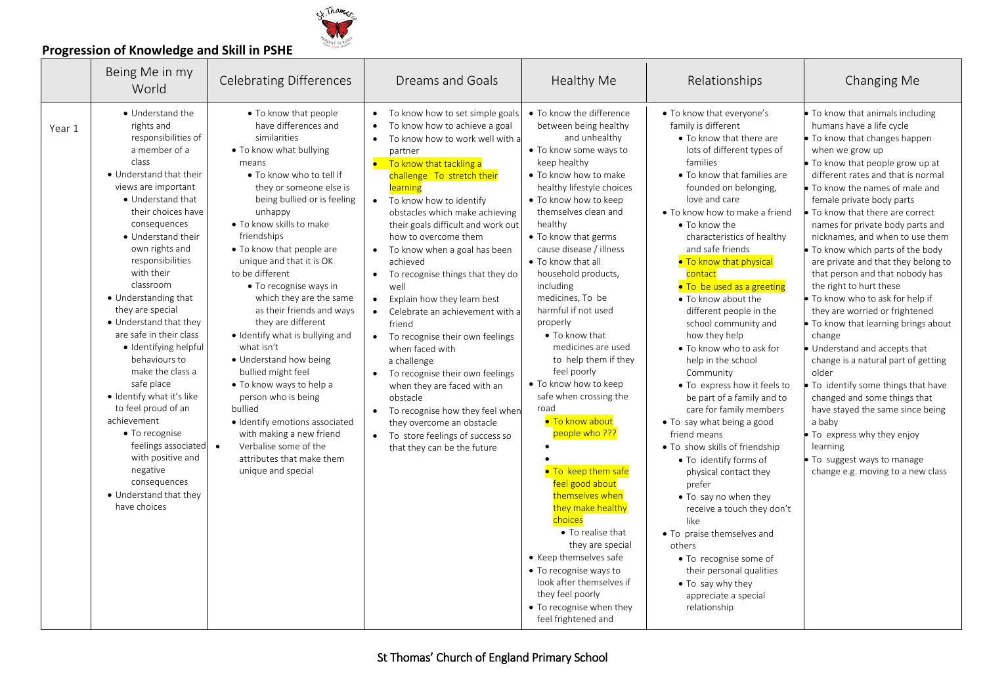

|        | Being Me in my<br>World                                                                                                                                                                                                                                                                                                                                                                                                                                                                                                                                                                                                                                                                   | <b>Celebrating Differences</b>                                                                                                                                                                                                                                                                                                                                                                                                                                                                                                                                                                                                                                                                                                             | <b>Dreams and Goals</b>                                                                                                                                                                                                                                                                                                                                                                                                                                                                                                                                                                                                                                                                                                                                                                                                                                                         | Healthy Me                                                                                                                                                                                                                                                                                                                                                                                                                                                                                                                                                                                                                                                                                                                                                                                                                                                                     | Relationships                                                                                                                                                                                                                                                                                                                                                                                                                                                                                                                                                                                                                                                                                                                                                                                                                                                                                                                                                                                      | Changing Me                                                                                                                                                                                                                                                                                                                                                                                                                                                                                                                                                                                                                                                                                                                                                                                                                                                                                                                                              |
|--------|-------------------------------------------------------------------------------------------------------------------------------------------------------------------------------------------------------------------------------------------------------------------------------------------------------------------------------------------------------------------------------------------------------------------------------------------------------------------------------------------------------------------------------------------------------------------------------------------------------------------------------------------------------------------------------------------|--------------------------------------------------------------------------------------------------------------------------------------------------------------------------------------------------------------------------------------------------------------------------------------------------------------------------------------------------------------------------------------------------------------------------------------------------------------------------------------------------------------------------------------------------------------------------------------------------------------------------------------------------------------------------------------------------------------------------------------------|---------------------------------------------------------------------------------------------------------------------------------------------------------------------------------------------------------------------------------------------------------------------------------------------------------------------------------------------------------------------------------------------------------------------------------------------------------------------------------------------------------------------------------------------------------------------------------------------------------------------------------------------------------------------------------------------------------------------------------------------------------------------------------------------------------------------------------------------------------------------------------|--------------------------------------------------------------------------------------------------------------------------------------------------------------------------------------------------------------------------------------------------------------------------------------------------------------------------------------------------------------------------------------------------------------------------------------------------------------------------------------------------------------------------------------------------------------------------------------------------------------------------------------------------------------------------------------------------------------------------------------------------------------------------------------------------------------------------------------------------------------------------------|----------------------------------------------------------------------------------------------------------------------------------------------------------------------------------------------------------------------------------------------------------------------------------------------------------------------------------------------------------------------------------------------------------------------------------------------------------------------------------------------------------------------------------------------------------------------------------------------------------------------------------------------------------------------------------------------------------------------------------------------------------------------------------------------------------------------------------------------------------------------------------------------------------------------------------------------------------------------------------------------------|----------------------------------------------------------------------------------------------------------------------------------------------------------------------------------------------------------------------------------------------------------------------------------------------------------------------------------------------------------------------------------------------------------------------------------------------------------------------------------------------------------------------------------------------------------------------------------------------------------------------------------------------------------------------------------------------------------------------------------------------------------------------------------------------------------------------------------------------------------------------------------------------------------------------------------------------------------|
| Year 1 | • Understand the<br>rights and<br>responsibilities of<br>a member of a<br>class<br>• Understand that their<br>views are important<br>• Understand that<br>their choices have<br>consequences<br>• Understand their<br>own rights and<br>responsibilities<br>with their<br>classroom<br>• Understanding that<br>they are special<br>• Understand that they<br>are safe in their class<br>· Identifying helpful<br>behaviours to<br>make the class a<br>safe place<br>· Identify what it's like<br>to feel proud of an<br>achievement<br>$\bullet$ To recognise<br>feelings associated $\bullet$<br>with positive and<br>negative<br>consequences<br>• Understand that they<br>have choices | • To know that people<br>have differences and<br>similarities<br>• To know what bullying<br>means<br>• To know who to tell if<br>they or someone else is<br>being bullied or is feeling<br>unhappy<br>. To know skills to make<br>friendships<br>• To know that people are<br>unique and that it is OK<br>to be different<br>• To recognise ways in<br>which they are the same<br>as their friends and ways<br>they are different<br>· Identify what is bullying and<br>what isn't<br>• Understand how being<br>bullied might feel<br>. To know ways to help a<br>person who is being<br>bullied<br>· Identify emotions associated<br>with making a new friend<br>Verbalise some of the<br>attributes that make them<br>unique and special | To know how to set simple goals<br>$\bullet$<br>To know how to achieve a goal<br>$\bullet$<br>To know how to work well with a<br>$\bullet$<br>partner<br>To know that tackling a<br>challenge To stretch their<br>learning<br>To know how to identify<br>$\bullet$<br>obstacles which make achieving<br>their goals difficult and work out<br>how to overcome them<br>To know when a goal has been<br>$\bullet$<br>achieved<br>To recognise things that they do<br>$\bullet$<br>well<br>Explain how they learn best<br>$\bullet$<br>Celebrate an achievement with a<br>$\bullet$<br>friend<br>To recognise their own feelings<br>when faced with<br>a challenge<br>To recognise their own feelings<br>when they are faced with an<br>obstacle<br>To recognise how they feel when<br>they overcome an obstacle<br>To store feelings of success so<br>that they can be the future | • To know the difference<br>between being healthy<br>and unhealthy<br>• To know some ways to<br>keep healthy<br>• To know how to make<br>healthy lifestyle choices<br>• To know how to keep<br>themselves clean and<br>healthy<br>• To know that germs<br>cause disease / illness<br>• To know that all<br>household products,<br>including<br>medicines, To be<br>harmful if not used<br>properly<br>• To know that<br>medicines are used<br>to help them if they<br>feel poorly<br>• To know how to keep<br>safe when crossing the<br>road<br>. To know about<br>people who ???<br>• To keep them safe<br>feel good about<br>themselves when<br>they make healthy<br>choices<br>• To realise that<br>they are special<br>• Keep themselves safe<br>• To recognise ways to<br>look after themselves if<br>they feel poorly<br>• To recognise when they<br>feel frightened and | • To know that everyone's<br>family is different<br>• To know that there are<br>lots of different types of<br>families<br>• To know that families are<br>founded on belonging,<br>love and care<br>• To know how to make a friend<br>• To know the<br>characteristics of healthy<br>and safe friends<br>. To know that physical<br>contact<br>. To be used as a greeting<br>• To know about the<br>different people in the<br>school community and<br>how they help<br>. To know who to ask for<br>help in the school<br>Community<br>• To express how it feels to<br>be part of a family and to<br>care for family members<br>• To say what being a good<br>friend means<br>• To show skills of friendship<br>• To identify forms of<br>physical contact they<br>prefer<br>. To say no when they<br>receive a touch they don't<br>like<br>• To praise themselves and<br>others<br>• To recognise some of<br>their personal qualities<br>• To say why they<br>appreciate a special<br>relationship | . To know that animals including<br>humans have a life cycle<br>• To know that changes happen<br>when we grow up<br>. To know that people grow up at<br>different rates and that is normal<br>• To know the names of male and<br>female private body parts<br>• To know that there are correct<br>names for private body parts and<br>nicknames, and when to use them<br>. To know which parts of the body<br>are private and that they belong to<br>that person and that nobody has<br>the right to hurt these<br>. To know who to ask for help if<br>they are worried or frightened<br>. To know that learning brings about<br>change<br>Understand and accepts that<br>change is a natural part of getting<br>older<br>To identify some things that have<br>changed and some things that<br>have stayed the same since being<br>a baby<br>• To express why they enjoy<br>learning<br>. To suggest ways to manage<br>change e.g. moving to a new class |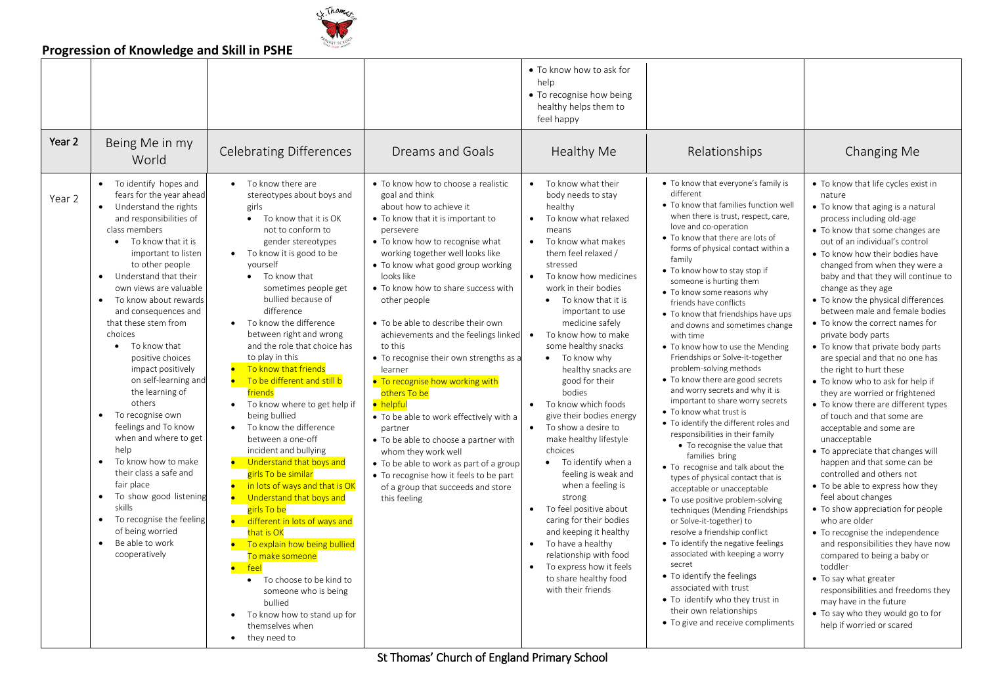

| • To know how to ask for<br>help<br>• To recognise how being<br>healthy helps them to<br>feel happy<br>Year 2<br>Being Me in my<br><b>Celebrating Differences</b><br>Healthy Me<br><b>Dreams and Goals</b><br>Relationships<br>Changing Me<br>World<br>• To identify hopes and<br>• To know there are<br>• To know how to choose a realistic<br>To know what their<br>. To know that everyone's family is<br>• To know that life cycles exist in<br>$\bullet$<br>different<br>fears for the year ahead<br>stereotypes about boys and<br>goal and think<br>body needs to stay<br>nature<br>Year 2<br>. To know that families function well<br>about how to achieve it<br>Understand the rights<br>girls<br>healthy<br>• To know that aging is a natural<br>$\bullet$<br>when there is trust, respect, care,<br>and responsibilities of<br>To know that it is OK<br>• To know that it is important to<br>To know what relaxed<br>process including old-age<br>$\bullet$<br>$\bullet$<br>love and co-operation<br>class members<br>not to conform to<br>• To know that some changes are<br>persevere<br>means<br>• To know that there are lots of<br>gender stereotypes<br>• To know how to recognise what<br>To know what makes<br>out of an individual's control<br>• To know that it is<br>$\bullet$<br>forms of physical contact within a<br>• To know it is good to be<br>working together well looks like<br>them feel relaxed /<br>important to listen<br>• To know how their bodies have<br>family<br>vourself<br>to other people<br>• To know what good group working<br>stressed<br>changed from when they were a<br>• To know how to stay stop if<br>Understand that their<br>• To know that<br>looks like<br>$\bullet$<br>To know how medicines<br>baby and that they will continue to<br>$\bullet$<br>someone is hurting them<br>own views are valuable<br>work in their bodies<br>sometimes people get<br>• To know how to share success with<br>change as they age<br>• To know some reasons why<br>bullied because of<br>To know about rewards<br>• To know that it is<br>• To know the physical differences<br>other people<br>$\bullet$<br>friends have conflicts<br>difference<br>and consequences and<br>important to use<br>between male and female bodies<br>• To know that friendships have ups<br>To know the difference<br>medicine safely<br>that these stem from<br>• To be able to describe their own<br>• To know the correct names for<br>and downs and sometimes change<br>choices<br>between right and wrong<br>To know how to make<br>achievements and the feelings linked<br>$\bullet$<br>private body parts<br>with time<br>and the role that choice has<br>some healthy snacks<br>To know that<br>to this<br>• To know that private body parts<br>$\bullet$<br>• To know how to use the Mending<br>to play in this<br>positive choices<br>Friendships or Solve-it-together<br>• To recognise their own strengths as a<br>• To know why<br>are special and that no one has<br>To know that friends<br>problem-solving methods<br>impact positively<br>healthy snacks are<br>the right to hurt these<br>learner<br>• To know there are good secrets<br>on self-learning and<br>To be different and still b<br>. To recognise how working with<br>good for their<br>• To know who to ask for help if<br>and worry secrets and why it is<br>the learning of<br>friends<br>bodies<br>others To be<br>they are worried or frightened<br>important to share worry secrets<br>others<br>To know which foods<br>To know where to get help if<br>• helpful<br>• To know there are different types<br>$\bullet$<br>• To know what trust is<br>To recognise own<br>being bullied<br>give their bodies energy<br>of touch and that some are<br>• To be able to work effectively with a<br>• To identify the different roles and<br>feelings and To know<br>To know the difference<br>To show a desire to<br>acceptable and some are<br>$\bullet$<br>partner<br>responsibilities in their family<br>when and where to get<br>between a one-off<br>make healthy lifestyle<br>unacceptable<br>• To be able to choose a partner with<br>• To recognise the value that<br>help<br>choices<br>incident and bullying<br>• To appreciate that changes will<br>whom they work well<br>families bring<br>To know how to make<br>$\bullet$<br>Understand that boys and<br>• To identify when a<br>happen and that some can be<br>• To be able to work as part of a group<br>• To recognise and talk about the<br>their class a safe and<br>girls To be similar<br>feeling is weak and<br>controlled and others not<br>• To recognise how it feels to be part<br>types of physical contact that is<br>fair place<br>in lots of ways and that is OK<br>when a feeling is<br>• To be able to express how they<br>of a group that succeeds and store<br>acceptable or unacceptable<br>To show good listening<br>$\bullet$<br>strong<br>Understand that boys and<br>feel about changes<br>this feeling<br>• To use positive problem-solving<br>skills<br>To feel positive about<br>girls To be<br>$\bullet$<br>• To show appreciation for people<br>techniques (Mending Friendships<br>To recognise the feeling<br>caring for their bodies<br>$\bullet$<br>different in lots of ways and<br>who are older<br>or Solve-it-together) to<br>of being worried<br>and keeping it healthy<br>that is OK<br>resolve a friendship conflict<br>• To recognise the independence<br>Be able to work<br>• To identify the negative feelings<br>To explain how being bullied<br>To have a healthy<br>$\bullet$<br>$\bullet$<br>and responsibilities they have now<br>associated with keeping a worry<br>cooperatively<br>relationship with food<br>To make someone<br>compared to being a baby or<br>secret<br>$\bullet$<br>To express how it feels<br>toddler<br>feel<br>• To identify the feelings<br>to share healthy food<br>• To say what greater<br>• To choose to be kind to<br>associated with trust<br>with their friends<br>responsibilities and freedoms they<br>someone who is being<br>• To identify who they trust in<br>may have in the future<br>bullied<br>their own relationships<br>• To say who they would go to for<br>To know how to stand up for<br>• To give and receive compliments<br>help if worried or scared<br>themselves when |  |                           |  |  |
|-----------------------------------------------------------------------------------------------------------------------------------------------------------------------------------------------------------------------------------------------------------------------------------------------------------------------------------------------------------------------------------------------------------------------------------------------------------------------------------------------------------------------------------------------------------------------------------------------------------------------------------------------------------------------------------------------------------------------------------------------------------------------------------------------------------------------------------------------------------------------------------------------------------------------------------------------------------------------------------------------------------------------------------------------------------------------------------------------------------------------------------------------------------------------------------------------------------------------------------------------------------------------------------------------------------------------------------------------------------------------------------------------------------------------------------------------------------------------------------------------------------------------------------------------------------------------------------------------------------------------------------------------------------------------------------------------------------------------------------------------------------------------------------------------------------------------------------------------------------------------------------------------------------------------------------------------------------------------------------------------------------------------------------------------------------------------------------------------------------------------------------------------------------------------------------------------------------------------------------------------------------------------------------------------------------------------------------------------------------------------------------------------------------------------------------------------------------------------------------------------------------------------------------------------------------------------------------------------------------------------------------------------------------------------------------------------------------------------------------------------------------------------------------------------------------------------------------------------------------------------------------------------------------------------------------------------------------------------------------------------------------------------------------------------------------------------------------------------------------------------------------------------------------------------------------------------------------------------------------------------------------------------------------------------------------------------------------------------------------------------------------------------------------------------------------------------------------------------------------------------------------------------------------------------------------------------------------------------------------------------------------------------------------------------------------------------------------------------------------------------------------------------------------------------------------------------------------------------------------------------------------------------------------------------------------------------------------------------------------------------------------------------------------------------------------------------------------------------------------------------------------------------------------------------------------------------------------------------------------------------------------------------------------------------------------------------------------------------------------------------------------------------------------------------------------------------------------------------------------------------------------------------------------------------------------------------------------------------------------------------------------------------------------------------------------------------------------------------------------------------------------------------------------------------------------------------------------------------------------------------------------------------------------------------------------------------------------------------------------------------------------------------------------------------------------------------------------------------------------------------------------------------------------------------------------------------------------------------------------------------------------------------------------------------------------------------------------------------------------------------------------------------------------------------------------------------------------------------------------------------------------------------------------------------------------------------------------------------------------------------------------------------------------------------------------------------------------------------------------------------------------------------------------------------------------------------------------------------------------------------------------------------------------------------------------------------------------------------------------------------------------------------------------------------------------------------------------------------------------------------------------------------------------------------------------------------------------------------------------------------------------------------------------------------------------------------------------------------------|--|---------------------------|--|--|
|                                                                                                                                                                                                                                                                                                                                                                                                                                                                                                                                                                                                                                                                                                                                                                                                                                                                                                                                                                                                                                                                                                                                                                                                                                                                                                                                                                                                                                                                                                                                                                                                                                                                                                                                                                                                                                                                                                                                                                                                                                                                                                                                                                                                                                                                                                                                                                                                                                                                                                                                                                                                                                                                                                                                                                                                                                                                                                                                                                                                                                                                                                                                                                                                                                                                                                                                                                                                                                                                                                                                                                                                                                                                                                                                                                                                                                                                                                                                                                                                                                                                                                                                                                                                                                                                                                                                                                                                                                                                                                                                                                                                                                                                                                                                                                                                                                                                                                                                                                                                                                                                                                                                                                                                                                                                                                                                                                                                                                                                                                                                                                                                                                                                                                                                                                                                                                                                                                                                                                                                                                                                                                                                                                                                                                                                                                                                                     |  |                           |  |  |
|                                                                                                                                                                                                                                                                                                                                                                                                                                                                                                                                                                                                                                                                                                                                                                                                                                                                                                                                                                                                                                                                                                                                                                                                                                                                                                                                                                                                                                                                                                                                                                                                                                                                                                                                                                                                                                                                                                                                                                                                                                                                                                                                                                                                                                                                                                                                                                                                                                                                                                                                                                                                                                                                                                                                                                                                                                                                                                                                                                                                                                                                                                                                                                                                                                                                                                                                                                                                                                                                                                                                                                                                                                                                                                                                                                                                                                                                                                                                                                                                                                                                                                                                                                                                                                                                                                                                                                                                                                                                                                                                                                                                                                                                                                                                                                                                                                                                                                                                                                                                                                                                                                                                                                                                                                                                                                                                                                                                                                                                                                                                                                                                                                                                                                                                                                                                                                                                                                                                                                                                                                                                                                                                                                                                                                                                                                                                                     |  |                           |  |  |
|                                                                                                                                                                                                                                                                                                                                                                                                                                                                                                                                                                                                                                                                                                                                                                                                                                                                                                                                                                                                                                                                                                                                                                                                                                                                                                                                                                                                                                                                                                                                                                                                                                                                                                                                                                                                                                                                                                                                                                                                                                                                                                                                                                                                                                                                                                                                                                                                                                                                                                                                                                                                                                                                                                                                                                                                                                                                                                                                                                                                                                                                                                                                                                                                                                                                                                                                                                                                                                                                                                                                                                                                                                                                                                                                                                                                                                                                                                                                                                                                                                                                                                                                                                                                                                                                                                                                                                                                                                                                                                                                                                                                                                                                                                                                                                                                                                                                                                                                                                                                                                                                                                                                                                                                                                                                                                                                                                                                                                                                                                                                                                                                                                                                                                                                                                                                                                                                                                                                                                                                                                                                                                                                                                                                                                                                                                                                                     |  | they need to<br>$\bullet$ |  |  |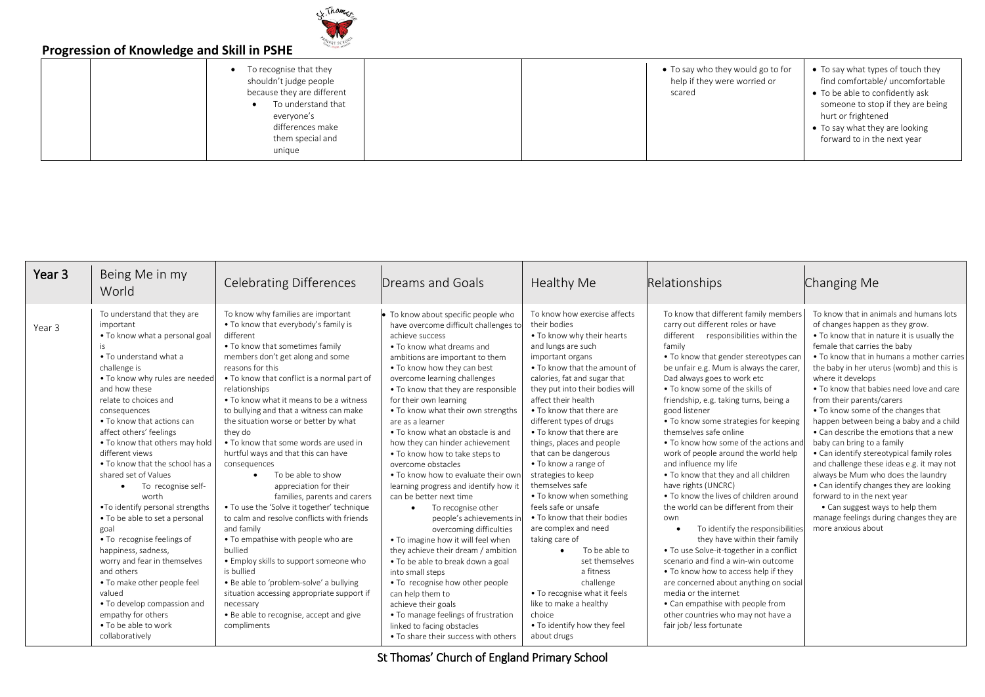

|  | To recognise that they<br>$\bullet$<br>shouldn't judge people<br>because they are different<br>To understand that<br>everyone's<br>differences make<br>them special and<br>unique |
|--|-----------------------------------------------------------------------------------------------------------------------------------------------------------------------------------|
|--|-----------------------------------------------------------------------------------------------------------------------------------------------------------------------------------|

 To say who they would go to for help if they were worried or scared

- To say what types of touch they find comfortable/ uncomfortable
- To be able to confidently ask someone to stop if they are being hurt or frightened
- To say what they are looking forward to in the next year

| Year 3 | Being Me in my<br>World                                                                                                                                                                                                                                                                                                                                                                                                                                                                                                                                                                                                                                                                                                                                  | <b>Celebrating Differences</b>                                                                                                                                                                                                                                                                                                                                                                                                                                                                                                                                                                                                                                                                                                                                                                                                                                                                                                                                               | Dreams and Goals                                                                                                                                                                                                                                                                                                                                                                                                                                                                                                                                                                                                                                                                                                                                                                                                                                                                                                                                                                                                 | Healthy Me                                                                                                                                                                                                                                                                                                                                                                                                                                                                                                                                                                                                                                                                                                                                                            | Relationships                                                                                                                                                                                                                                                                                                                                                                                                                                                                                                                                                                                                                                                                                                                                                                                                                                                                                                                                                                                                                                                 | Changing Me                                                                                                                                                                                                                                                                                                                                                                                                                                                                                                                                                                                                                                                                                                                                                                                                             |
|--------|----------------------------------------------------------------------------------------------------------------------------------------------------------------------------------------------------------------------------------------------------------------------------------------------------------------------------------------------------------------------------------------------------------------------------------------------------------------------------------------------------------------------------------------------------------------------------------------------------------------------------------------------------------------------------------------------------------------------------------------------------------|------------------------------------------------------------------------------------------------------------------------------------------------------------------------------------------------------------------------------------------------------------------------------------------------------------------------------------------------------------------------------------------------------------------------------------------------------------------------------------------------------------------------------------------------------------------------------------------------------------------------------------------------------------------------------------------------------------------------------------------------------------------------------------------------------------------------------------------------------------------------------------------------------------------------------------------------------------------------------|------------------------------------------------------------------------------------------------------------------------------------------------------------------------------------------------------------------------------------------------------------------------------------------------------------------------------------------------------------------------------------------------------------------------------------------------------------------------------------------------------------------------------------------------------------------------------------------------------------------------------------------------------------------------------------------------------------------------------------------------------------------------------------------------------------------------------------------------------------------------------------------------------------------------------------------------------------------------------------------------------------------|-----------------------------------------------------------------------------------------------------------------------------------------------------------------------------------------------------------------------------------------------------------------------------------------------------------------------------------------------------------------------------------------------------------------------------------------------------------------------------------------------------------------------------------------------------------------------------------------------------------------------------------------------------------------------------------------------------------------------------------------------------------------------|---------------------------------------------------------------------------------------------------------------------------------------------------------------------------------------------------------------------------------------------------------------------------------------------------------------------------------------------------------------------------------------------------------------------------------------------------------------------------------------------------------------------------------------------------------------------------------------------------------------------------------------------------------------------------------------------------------------------------------------------------------------------------------------------------------------------------------------------------------------------------------------------------------------------------------------------------------------------------------------------------------------------------------------------------------------|-------------------------------------------------------------------------------------------------------------------------------------------------------------------------------------------------------------------------------------------------------------------------------------------------------------------------------------------------------------------------------------------------------------------------------------------------------------------------------------------------------------------------------------------------------------------------------------------------------------------------------------------------------------------------------------------------------------------------------------------------------------------------------------------------------------------------|
| Year 3 | To understand that they are<br>important<br>• To know what a personal goal<br>is<br>• To understand what a<br>challenge is<br>. To know why rules are needed<br>and how these<br>relate to choices and<br>consequences<br>• To know that actions can<br>affect others' feelings<br>• To know that others may hold<br>different views<br>. To know that the school has a<br>shared set of Values<br>To recognise self-<br>worth<br>. To identify personal strengths<br>. To be able to set a personal<br>goal<br>• To recognise feelings of<br>happiness, sadness,<br>worry and fear in themselves<br>and others<br>• To make other people feel<br>valued<br>• To develop compassion and<br>empathy for others<br>• To be able to work<br>collaboratively | To know why families are important<br>. To know that everybody's family is<br>different<br>. To know that sometimes family<br>members don't get along and some<br>reasons for this<br>• To know that conflict is a normal part of<br>relationships<br>• To know what it means to be a witness<br>to bullying and that a witness can make<br>the situation worse or better by what<br>they do<br>• To know that some words are used in<br>hurtful ways and that this can have<br>consequences<br>To be able to show<br>$\bullet$<br>appreciation for their<br>families, parents and carers<br>. To use the 'Solve it together' technique<br>to calm and resolve conflicts with friends<br>and family<br>• To empathise with people who are<br>bullied<br>• Employ skills to support someone who<br>is bullied<br>. Be able to 'problem-solve' a bullying<br>situation accessing appropriate support if<br>necessary<br>. Be able to recognise, accept and give<br>compliments | To know about specific people who<br>have overcome difficult challenges to<br>achieve success<br>• To know what dreams and<br>ambitions are important to them<br>. To know how they can best<br>overcome learning challenges<br>• To know that they are responsible<br>for their own learning<br>. To know what their own strengths<br>are as a learner<br>. To know what an obstacle is and<br>how they can hinder achievement<br>• To know how to take steps to<br>overcome obstacles<br>. To know how to evaluate their own<br>learning progress and identify how it<br>can be better next time<br>To recognise other<br>people's achievements in<br>overcoming difficulties<br>• To imagine how it will feel when<br>they achieve their dream / ambition<br>• To be able to break down a goal<br>into small steps<br>• To recognise how other people<br>can help them to<br>achieve their goals<br>• To manage feelings of frustration<br>linked to facing obstacles<br>• To share their success with others | To know how exercise affects<br>their bodies<br>. To know why their hearts<br>and lungs are such<br>important organs<br>• To know that the amount of<br>calories, fat and sugar that<br>they put into their bodies will<br>affect their health<br>• To know that there are<br>different types of drugs<br>• To know that there are<br>things, places and people<br>that can be dangerous<br>• To know a range of<br>strategies to keep<br>themselves safe<br>• To know when something<br>feels safe or unsafe<br>• To know that their bodies<br>are complex and need<br>taking care of<br>To be able to<br>set themselves<br>a fitness<br>challenge<br>. To recognise what it feels<br>like to make a healthy<br>choice<br>. To identify how they feel<br>about drugs | To know that different family members<br>carry out different roles or have<br>different responsibilities within the<br>family<br>• To know that gender stereotypes can<br>be unfair e.g. Mum is always the carer,<br>Dad always goes to work etc<br>• To know some of the skills of<br>friendship, e.g. taking turns, being a<br>good listener<br>• To know some strategies for keeping<br>themselves safe online<br>• To know how some of the actions and<br>work of people around the world help<br>and influence my life<br>• To know that they and all children<br>have rights (UNCRC)<br>• To know the lives of children around<br>the world can be different from their<br>own<br>To identify the responsibilities<br>they have within their family<br>. To use Solve-it-together in a conflict<br>scenario and find a win-win outcome<br>• To know how to access help if they<br>are concerned about anything on social<br>media or the internet<br>• Can empathise with people from<br>other countries who may not have a<br>fair job/ less fortunate | To know that in animals and humans lots<br>of changes happen as they grow.<br>. To know that in nature it is usually the<br>female that carries the baby<br>• To know that in humans a mother carries<br>the baby in her uterus (womb) and this is<br>where it develops<br>• To know that babies need love and care<br>from their parents/carers<br>• To know some of the changes that<br>happen between being a baby and a child<br>• Can describe the emotions that a new<br>baby can bring to a family<br>• Can identify stereotypical family roles<br>and challenge these ideas e.g. it may not<br>always be Mum who does the laundry<br>• Can identify changes they are looking<br>forward to in the next year<br>• Can suggest ways to help them<br>manage feelings during changes they are<br>more anxious about |

St Thomas' Church of England Primary School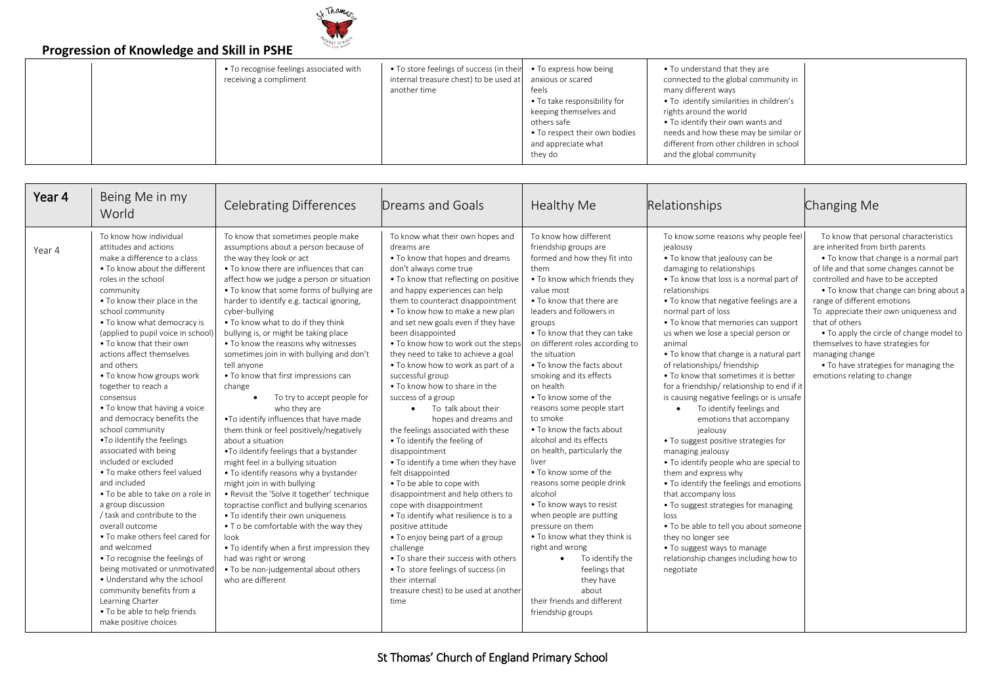

| • To store feelings of success (in their • To express how being                                                                                                                                                                                                                                                                                                                                                                                                                                                                                       | $\sim$ , $\sim$ , $\sim$ , $\sim$ , $\sim$ , $\sim$ , $\sim$ , $\sim$ , $\sim$ , $\sim$ , $\sim$ , $\sim$ , $\sim$ , $\sim$ , $\sim$ |                                         |  |  |                               |  |  |  |
|-------------------------------------------------------------------------------------------------------------------------------------------------------------------------------------------------------------------------------------------------------------------------------------------------------------------------------------------------------------------------------------------------------------------------------------------------------------------------------------------------------------------------------------------------------|--------------------------------------------------------------------------------------------------------------------------------------|-----------------------------------------|--|--|-------------------------------|--|--|--|
| connected to the global community in<br>internal treasure chest) to be used at<br>receiving a compliment<br>anxious or scared<br>many different ways<br>another time<br>feels<br>• To identify similarities in children's<br>• To take responsibility for<br>keeping themselves and<br>rights around the world<br>• To identify their own wants and<br>others safe<br>needs and how these may be similar or<br>• To respect their own bodies<br>different from other children in school<br>and appreciate what<br>and the global community<br>they do |                                                                                                                                      | • To recognise feelings associated with |  |  | • To understand that they are |  |  |  |

| Year 4 | Being Me in my<br>World                                                                                                                                                                                                                                                                                                                                                                                                                                                                                                                                                                                                                                                                                                                                                                                                                                                                                                                                                                                                | <b>Celebrating Differences</b>                                                                                                                                                                                                                                                                                                                                                                                                                                                                                                                                                                                                                                                                                                                                                                                                                                                                                                                                                                                                                                                                                                                                                                              | Dreams and Goals                                                                                                                                                                                                                                                                                                                                                                                                                                                                                                                                                                                                                                                                                                                                                                                                                                                                                                                                                                                                                                                                              | Healthy Me                                                                                                                                                                                                                                                                                                                                                                                                                                                                                                                                                                                                                                                                                                                                                                                                                                                  | Relationships                                                                                                                                                                                                                                                                                                                                                                                                                                                                                                                                                                                                                                                                                                                                                                                                                                                                                                                                                                                                                 | Changing Me                                                                                                                                                                                                                                                                                                                                                                                                                                                                                                            |
|--------|------------------------------------------------------------------------------------------------------------------------------------------------------------------------------------------------------------------------------------------------------------------------------------------------------------------------------------------------------------------------------------------------------------------------------------------------------------------------------------------------------------------------------------------------------------------------------------------------------------------------------------------------------------------------------------------------------------------------------------------------------------------------------------------------------------------------------------------------------------------------------------------------------------------------------------------------------------------------------------------------------------------------|-------------------------------------------------------------------------------------------------------------------------------------------------------------------------------------------------------------------------------------------------------------------------------------------------------------------------------------------------------------------------------------------------------------------------------------------------------------------------------------------------------------------------------------------------------------------------------------------------------------------------------------------------------------------------------------------------------------------------------------------------------------------------------------------------------------------------------------------------------------------------------------------------------------------------------------------------------------------------------------------------------------------------------------------------------------------------------------------------------------------------------------------------------------------------------------------------------------|-----------------------------------------------------------------------------------------------------------------------------------------------------------------------------------------------------------------------------------------------------------------------------------------------------------------------------------------------------------------------------------------------------------------------------------------------------------------------------------------------------------------------------------------------------------------------------------------------------------------------------------------------------------------------------------------------------------------------------------------------------------------------------------------------------------------------------------------------------------------------------------------------------------------------------------------------------------------------------------------------------------------------------------------------------------------------------------------------|-------------------------------------------------------------------------------------------------------------------------------------------------------------------------------------------------------------------------------------------------------------------------------------------------------------------------------------------------------------------------------------------------------------------------------------------------------------------------------------------------------------------------------------------------------------------------------------------------------------------------------------------------------------------------------------------------------------------------------------------------------------------------------------------------------------------------------------------------------------|-------------------------------------------------------------------------------------------------------------------------------------------------------------------------------------------------------------------------------------------------------------------------------------------------------------------------------------------------------------------------------------------------------------------------------------------------------------------------------------------------------------------------------------------------------------------------------------------------------------------------------------------------------------------------------------------------------------------------------------------------------------------------------------------------------------------------------------------------------------------------------------------------------------------------------------------------------------------------------------------------------------------------------|------------------------------------------------------------------------------------------------------------------------------------------------------------------------------------------------------------------------------------------------------------------------------------------------------------------------------------------------------------------------------------------------------------------------------------------------------------------------------------------------------------------------|
| Year 4 | To know how individual<br>attitudes and actions<br>make a difference to a class<br>• To know about the different<br>roles in the school<br>community<br>. To know their place in the<br>school community<br>• To know what democracy is<br>(applied to pupil voice in school)<br>. To know that their own<br>actions affect themselves<br>and others<br>. To know how groups work<br>together to reach a<br>consensus<br>• To know that having a voice<br>and democracy benefits the<br>school community<br>. To ildentify the feelings<br>associated with being<br>included or excluded<br>• To make others feel valued<br>and included<br>• To be able to take on a role in<br>a group discussion<br>/ task and contribute to the<br>overall outcome<br>• To make others feel cared for<br>and welcomed<br>• To recognise the feelings of<br>being motivated or unmotivated<br>• Understand why the school<br>community benefits from a<br>Learning Charter<br>• To be able to help friends<br>make positive choices | To know that sometimes people make<br>assumptions about a person because of<br>the way they look or act<br>• To know there are influences that can<br>affect how we judge a person or situation<br>• To know that some forms of bullying are<br>harder to identify e.g. tactical ignoring,<br>cyber-bullying<br>. To know what to do if they think<br>bullying is, or might be taking place<br>• To know the reasons why witnesses<br>sometimes join in with bullying and don't<br>tell anyone<br>• To know that first impressions can<br>change<br>To try to accept people for<br>$\bullet$<br>who they are<br>. To identify influences that have made<br>them think or feel positively/negatively<br>about a situation<br>. To ildentify feelings that a bystander<br>might feel in a bullying situation<br>• To identify reasons why a bystander<br>might join in with bullying<br>. Revisit the 'Solve it together' technique<br>topractise conflict and bullying scenarios<br>• To identify their own uniqueness<br>• To be comfortable with the way they<br>look<br>• To identify when a first impression they<br>had was right or wrong<br>. To be non-judgemental about others<br>who are different | To know what their own hopes and<br>dreams are<br>• To know that hopes and dreams<br>don't always come true<br>• To know that reflecting on positive<br>and happy experiences can help<br>them to counteract disappointment<br>. To know how to make a new plan<br>and set new goals even if they have<br>been disappointed<br>. To know how to work out the steps<br>they need to take to achieve a goal<br>. To know how to work as part of a<br>successful group<br>• To know how to share in the<br>success of a group<br>• To talk about their<br>hopes and dreams and<br>the feelings associated with these<br>• To identify the feeling of<br>disappointment<br>. To identify a time when they have<br>felt disappointed<br>. To be able to cope with<br>disappointment and help others to<br>cope with disappointment<br>. To identify what resilience is to a<br>positive attitude<br>• To enjoy being part of a group<br>challenge<br>• To share their success with others<br>• To store feelings of success (in<br>their internal<br>treasure chest) to be used at another<br>time | To know how different<br>friendship groups are<br>formed and how they fit into<br>them<br>. To know which friends they<br>value most<br>. To know that there are<br>leaders and followers in<br>groups<br>. To know that they can take<br>on different roles according to<br>the situation<br>• To know the facts about<br>smoking and its effects<br>on health<br>• To know some of the<br>reasons some people start<br>to smoke<br>. To know the facts about<br>alcohol and its effects<br>on health, particularly the<br>liver<br>• To know some of the<br>reasons some people drink<br>alcohol<br>. To know ways to resist<br>when people are putting<br>pressure on them<br>. To know what they think is<br>right and wrong<br>To identify the<br>$\bullet$<br>feelings that<br>they have<br>about<br>their friends and different<br>friendship groups | To know some reasons why people feel<br>jealousy<br>. To know that jealousy can be<br>damaging to relationships<br>. To know that loss is a normal part of<br>relationships<br>. To know that negative feelings are a<br>normal part of loss<br>. To know that memories can support<br>us when we lose a special person or<br>animal<br>. To know that change is a natural part<br>of relationships/ friendship<br>• To know that sometimes it is better<br>for a friendship/relationship to end if it<br>is causing negative feelings or is unsafe<br>To identify feelings and<br>emotions that accompany<br>iealousy<br>• To suggest positive strategies for<br>managing jealousy<br>. To identify people who are special to<br>them and express why<br>• To identify the feelings and emotions<br>that accompany loss<br>• To suggest strategies for managing<br>loss<br>. To be able to tell you about someone<br>they no longer see<br>• To suggest ways to manage<br>relationship changes including how to<br>negotiate | To know that personal characteristics<br>are inherited from birth parents<br>• To know that change is a normal part<br>of life and that some changes cannot be<br>controlled and have to be accepted<br>• To know that change can bring about a<br>range of different emotions<br>To appreciate their own uniqueness and<br>that of others<br>. To apply the circle of change model to<br>themselves to have strategies for<br>managing change<br>• To have strategies for managing the<br>emotions relating to change |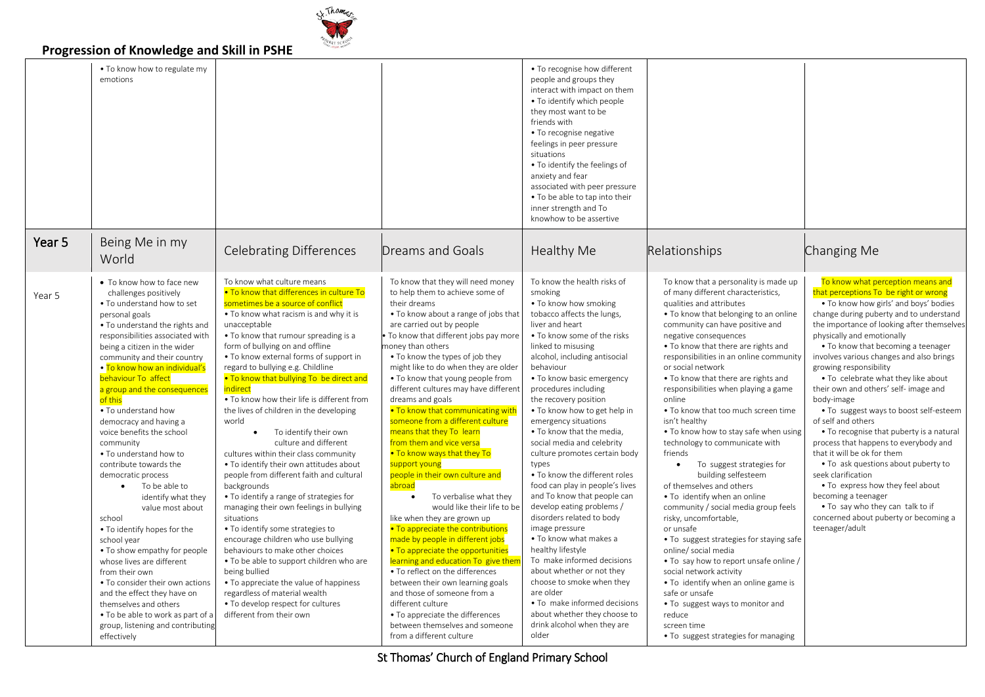# er Thomas

### **Progression of Knowledge and Skill in PSHE**

|        | . To know how to regulate my<br>emotions                                                                                                                                                                                                                                                                                                                                                                                                                                                                                                                                                                                                                                                                                                                                                                                                                                                                           |                                                                                                                                                                                                                                                                                                                                                                                                                                                                                                                                                                                                                                                                                                                                                                                                                                                                                                                                                                                                                                                                                                                        |                                                                                                                                                                                                                                                                                                                                                                                                                                                                                                                                                                                                                                                                                                                                                                                                                                                                                                                                                                                                                                                                                                                        | • To recognise how different<br>people and groups they<br>interact with impact on them<br>• To identify which people<br>they most want to be<br>friends with<br>• To recognise negative<br>feelings in peer pressure<br>situations<br>• To identify the feelings of<br>anxiety and fear<br>associated with peer pressure<br>• To be able to tap into their<br>inner strength and To<br>knowhow to be assertive                                                                                                                                                                                                                                                                                                                                                                                                                                                                                            |                                                                                                                                                                                                                                                                                                                                                                                                                                                                                                                                                                                                                                                                                                                                                                                                                                                                                                                                                                                                                                                                               |                                                                                                                                                                                                                                                                                                                                                                                                                                                                                                                                                                                                                                                                                                                                                                                                                                                                 |
|--------|--------------------------------------------------------------------------------------------------------------------------------------------------------------------------------------------------------------------------------------------------------------------------------------------------------------------------------------------------------------------------------------------------------------------------------------------------------------------------------------------------------------------------------------------------------------------------------------------------------------------------------------------------------------------------------------------------------------------------------------------------------------------------------------------------------------------------------------------------------------------------------------------------------------------|------------------------------------------------------------------------------------------------------------------------------------------------------------------------------------------------------------------------------------------------------------------------------------------------------------------------------------------------------------------------------------------------------------------------------------------------------------------------------------------------------------------------------------------------------------------------------------------------------------------------------------------------------------------------------------------------------------------------------------------------------------------------------------------------------------------------------------------------------------------------------------------------------------------------------------------------------------------------------------------------------------------------------------------------------------------------------------------------------------------------|------------------------------------------------------------------------------------------------------------------------------------------------------------------------------------------------------------------------------------------------------------------------------------------------------------------------------------------------------------------------------------------------------------------------------------------------------------------------------------------------------------------------------------------------------------------------------------------------------------------------------------------------------------------------------------------------------------------------------------------------------------------------------------------------------------------------------------------------------------------------------------------------------------------------------------------------------------------------------------------------------------------------------------------------------------------------------------------------------------------------|-----------------------------------------------------------------------------------------------------------------------------------------------------------------------------------------------------------------------------------------------------------------------------------------------------------------------------------------------------------------------------------------------------------------------------------------------------------------------------------------------------------------------------------------------------------------------------------------------------------------------------------------------------------------------------------------------------------------------------------------------------------------------------------------------------------------------------------------------------------------------------------------------------------|-------------------------------------------------------------------------------------------------------------------------------------------------------------------------------------------------------------------------------------------------------------------------------------------------------------------------------------------------------------------------------------------------------------------------------------------------------------------------------------------------------------------------------------------------------------------------------------------------------------------------------------------------------------------------------------------------------------------------------------------------------------------------------------------------------------------------------------------------------------------------------------------------------------------------------------------------------------------------------------------------------------------------------------------------------------------------------|-----------------------------------------------------------------------------------------------------------------------------------------------------------------------------------------------------------------------------------------------------------------------------------------------------------------------------------------------------------------------------------------------------------------------------------------------------------------------------------------------------------------------------------------------------------------------------------------------------------------------------------------------------------------------------------------------------------------------------------------------------------------------------------------------------------------------------------------------------------------|
| Year 5 | Being Me in my<br>World                                                                                                                                                                                                                                                                                                                                                                                                                                                                                                                                                                                                                                                                                                                                                                                                                                                                                            | <b>Celebrating Differences</b>                                                                                                                                                                                                                                                                                                                                                                                                                                                                                                                                                                                                                                                                                                                                                                                                                                                                                                                                                                                                                                                                                         | Dreams and Goals                                                                                                                                                                                                                                                                                                                                                                                                                                                                                                                                                                                                                                                                                                                                                                                                                                                                                                                                                                                                                                                                                                       | Healthy Me                                                                                                                                                                                                                                                                                                                                                                                                                                                                                                                                                                                                                                                                                                                                                                                                                                                                                                | Relationships                                                                                                                                                                                                                                                                                                                                                                                                                                                                                                                                                                                                                                                                                                                                                                                                                                                                                                                                                                                                                                                                 | Changing Me                                                                                                                                                                                                                                                                                                                                                                                                                                                                                                                                                                                                                                                                                                                                                                                                                                                     |
| Year 5 | • To know how to face new<br>challenges positively<br>. To understand how to set<br>personal goals<br>• To understand the rights and<br>responsibilities associated with<br>being a citizen in the wider<br>community and their country<br>• To know how an individual's<br>behaviour To affect<br>a group and the consequences<br>of this<br>• To understand how<br>democracy and having a<br>voice benefits the school<br>community<br>• To understand how to<br>contribute towards the<br>democratic process<br>To be able to<br>$\bullet$<br>identify what they<br>value most about<br>school<br>• To identify hopes for the<br>school year<br>• To show empathy for people<br>whose lives are different<br>from their own<br>• To consider their own actions<br>and the effect they have on<br>themselves and others<br>. To be able to work as part of a<br>group, listening and contributing<br>effectively | To know what culture means<br>. To know that differences in culture To<br>sometimes be a source of conflict<br>• To know what racism is and why it is<br>unacceptable<br>• To know that rumour spreading is a<br>form of bullying on and offline<br>• To know external forms of support in<br>regard to bullying e.g. Childline<br>. To know that bullying To be direct and<br>indirect<br>• To know how their life is different from<br>the lives of children in the developing<br>world<br>To identify their own<br>culture and different<br>cultures within their class community<br>• To identify their own attitudes about<br>people from different faith and cultural<br>backgrounds<br>• To identify a range of strategies for<br>managing their own feelings in bullying<br>situations<br>• To identify some strategies to<br>encourage children who use bullying<br>behaviours to make other choices<br>• To be able to support children who are<br>being bullied<br>• To appreciate the value of happiness<br>regardless of material wealth<br>• To develop respect for cultures<br>different from their own | To know that they will need money<br>to help them to achieve some of<br>their dreams<br>. To know about a range of jobs that<br>are carried out by people<br>To know that different jobs pay more<br>noney than others<br>• To know the types of job they<br>might like to do when they are older<br>• To know that young people from<br>different cultures may have different<br>dreams and goals<br>. To know that communicating with<br>someone from a different culture<br>means that they To learn<br>from them and vice versa<br>. To know ways that they To<br>support young<br>people in their own culture and<br>abroad<br>To verbalise what they<br>$\bullet$<br>would like their life to be<br>like when they are grown up<br>• To appreciate the contributions<br>made by people in different jobs<br>. To appreciate the opportunities<br>learning and education To give them<br>• To reflect on the differences<br>between their own learning goals<br>and those of someone from a<br>different culture<br>• To appreciate the differences<br>between themselves and someone<br>from a different culture | To know the health risks of<br>smoking<br>• To know how smoking<br>tobacco affects the lungs,<br>liver and heart<br>• To know some of the risks<br>linked to misusing<br>alcohol, including antisocial<br>behaviour<br>• To know basic emergency<br>procedures including<br>the recovery position<br>• To know how to get help in<br>emergency situations<br>. To know that the media,<br>social media and celebrity<br>culture promotes certain body<br>types<br>. To know the different roles<br>food can play in people's lives<br>and To know that people can<br>develop eating problems /<br>disorders related to body<br>image pressure<br>• To know what makes a<br>healthy lifestyle<br>To make informed decisions<br>about whether or not they<br>choose to smoke when they<br>are older<br>• To make informed decisions<br>about whether they choose to<br>drink alcohol when they are<br>older | To know that a personality is made up<br>of many different characteristics,<br>qualities and attributes<br>• To know that belonging to an online<br>community can have positive and<br>negative consequences<br>. To know that there are rights and<br>responsibilities in an online community<br>or social network<br>. To know that there are rights and<br>responsibilities when playing a game<br>online<br>. To know that too much screen time<br>isn't healthy<br>• To know how to stay safe when using<br>technology to communicate with<br>friends<br>To suggest strategies for<br>$\bullet$<br>building selfesteem<br>of themselves and others<br>. To identify when an online<br>community / social media group feels<br>risky, uncomfortable,<br>or unsafe<br>• To suggest strategies for staying safe<br>online/ social media<br>. To say how to report unsafe online /<br>social network activity<br>• To identify when an online game is<br>safe or unsafe<br>• To suggest ways to monitor and<br>reduce<br>screen time<br>. To suggest strategies for managing | To know what perception means and<br>that perceptions To be right or wrong<br>. To know how girls' and boys' bodies<br>change during puberty and to understand<br>the importance of looking after themselves<br>physically and emotionally<br>• To know that becoming a teenager<br>involves various changes and also brings<br>growing responsibility<br>. To celebrate what they like about<br>their own and others' self- image and<br>body-image<br>• To suggest ways to boost self-esteem<br>of self and others<br>• To recognise that puberty is a natural<br>process that happens to everybody and<br>that it will be ok for them<br>• To ask questions about puberty to<br>seek clarification<br>. To express how they feel about<br>becoming a teenager<br>• To say who they can talk to if<br>concerned about puberty or becoming a<br>teenager/adult |

St Thomas' Church of England Primary School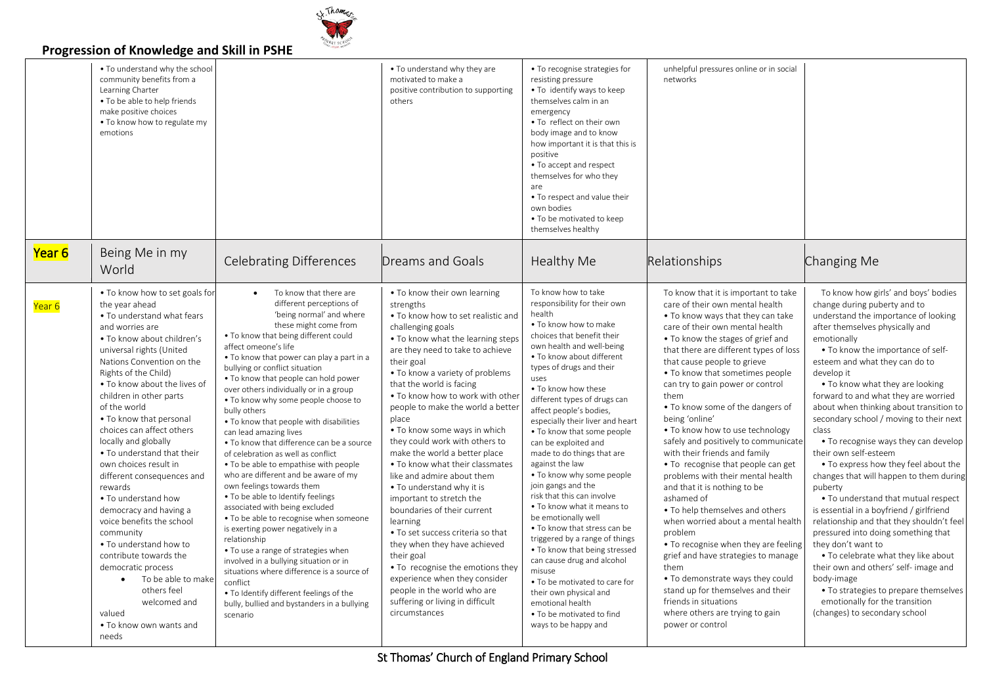

|        | • To understand why the school<br>community benefits from a<br>Learning Charter<br>• To be able to help friends<br>make positive choices<br>. To know how to regulate my<br>emotions                                                                                                                                                                                                                                                                                                                                                                                                                                                                                                                                                                |                                                                                                                                                                                                                                                                                                                                                                                                                                                                                                                                                                                                                                                                                                                                                                                                                                                                                                                                                                                                                                                                                              | • To understand why they are<br>motivated to make a<br>positive contribution to supporting<br>others                                                                                                                                                                                                                                                                                                                                                                                                                                                                                                                                                                                                                                                                                                                                                             | • To recognise strategies for<br>resisting pressure<br>. To identify ways to keep<br>themselves calm in an<br>emergency<br>. To reflect on their own<br>body image and to know<br>how important it is that this is<br>positive<br>• To accept and respect<br>themselves for who they<br>are<br>• To respect and value their<br>own bodies<br>• To be motivated to keep<br>themselves healthy                                                                                                                                                                                                                                                                                                                                                                                                                                                                         | unhelpful pressures online or in social<br>networks                                                                                                                                                                                                                                                                                                                                                                                                                                                                                                                                                                                                                                                                                                                                                                                                                                                                                                                         |                                                                                                                                                                                                                                                                                                                                                                                                                                                                                                                                                                                                                                                                                                                                                                                                                                                                                                                                                                                                    |
|--------|-----------------------------------------------------------------------------------------------------------------------------------------------------------------------------------------------------------------------------------------------------------------------------------------------------------------------------------------------------------------------------------------------------------------------------------------------------------------------------------------------------------------------------------------------------------------------------------------------------------------------------------------------------------------------------------------------------------------------------------------------------|----------------------------------------------------------------------------------------------------------------------------------------------------------------------------------------------------------------------------------------------------------------------------------------------------------------------------------------------------------------------------------------------------------------------------------------------------------------------------------------------------------------------------------------------------------------------------------------------------------------------------------------------------------------------------------------------------------------------------------------------------------------------------------------------------------------------------------------------------------------------------------------------------------------------------------------------------------------------------------------------------------------------------------------------------------------------------------------------|------------------------------------------------------------------------------------------------------------------------------------------------------------------------------------------------------------------------------------------------------------------------------------------------------------------------------------------------------------------------------------------------------------------------------------------------------------------------------------------------------------------------------------------------------------------------------------------------------------------------------------------------------------------------------------------------------------------------------------------------------------------------------------------------------------------------------------------------------------------|----------------------------------------------------------------------------------------------------------------------------------------------------------------------------------------------------------------------------------------------------------------------------------------------------------------------------------------------------------------------------------------------------------------------------------------------------------------------------------------------------------------------------------------------------------------------------------------------------------------------------------------------------------------------------------------------------------------------------------------------------------------------------------------------------------------------------------------------------------------------|-----------------------------------------------------------------------------------------------------------------------------------------------------------------------------------------------------------------------------------------------------------------------------------------------------------------------------------------------------------------------------------------------------------------------------------------------------------------------------------------------------------------------------------------------------------------------------------------------------------------------------------------------------------------------------------------------------------------------------------------------------------------------------------------------------------------------------------------------------------------------------------------------------------------------------------------------------------------------------|----------------------------------------------------------------------------------------------------------------------------------------------------------------------------------------------------------------------------------------------------------------------------------------------------------------------------------------------------------------------------------------------------------------------------------------------------------------------------------------------------------------------------------------------------------------------------------------------------------------------------------------------------------------------------------------------------------------------------------------------------------------------------------------------------------------------------------------------------------------------------------------------------------------------------------------------------------------------------------------------------|
| Year 6 | Being Me in my<br>World                                                                                                                                                                                                                                                                                                                                                                                                                                                                                                                                                                                                                                                                                                                             | <b>Celebrating Differences</b>                                                                                                                                                                                                                                                                                                                                                                                                                                                                                                                                                                                                                                                                                                                                                                                                                                                                                                                                                                                                                                                               | <b>Dreams and Goals</b>                                                                                                                                                                                                                                                                                                                                                                                                                                                                                                                                                                                                                                                                                                                                                                                                                                          | Healthy Me                                                                                                                                                                                                                                                                                                                                                                                                                                                                                                                                                                                                                                                                                                                                                                                                                                                           | Relationships                                                                                                                                                                                                                                                                                                                                                                                                                                                                                                                                                                                                                                                                                                                                                                                                                                                                                                                                                               | Changing Me                                                                                                                                                                                                                                                                                                                                                                                                                                                                                                                                                                                                                                                                                                                                                                                                                                                                                                                                                                                        |
| Year 6 | • To know how to set goals for<br>the year ahead<br>. To understand what fears<br>and worries are<br>• To know about children's<br>universal rights (United<br>Nations Convention on the<br>Rights of the Child)<br>. To know about the lives of<br>children in other parts<br>of the world<br>• To know that personal<br>choices can affect others<br>locally and globally<br>• To understand that their<br>own choices result in<br>different consequences and<br>rewards<br>• To understand how<br>democracy and having a<br>voice benefits the school<br>community<br>. To understand how to<br>contribute towards the<br>democratic process<br>To be able to make<br>others feel<br>welcomed and<br>valued<br>. To know own wants and<br>needs | To know that there are<br>different perceptions of<br>'being normal' and where<br>these might come from<br>. To know that being different could<br>affect omeone's life<br>. To know that power can play a part in a<br>bullying or conflict situation<br>. To know that people can hold power<br>over others individually or in a group<br>. To know why some people choose to<br>bully others<br>. To know that people with disabilities<br>can lead amazing lives<br>. To know that difference can be a source<br>of celebration as well as conflict<br>. To be able to empathise with people<br>who are different and be aware of my<br>own feelings towards them<br>. To be able to Identify feelings<br>associated with being excluded<br>• To be able to recognise when someone<br>is exerting power negatively in a<br>relationship<br>• To use a range of strategies when<br>involved in a bullying situation or in<br>situations where difference is a source of<br>conflict<br>. To Identify different feelings of the<br>bully, bullied and bystanders in a bullying<br>scenario | • To know their own learning<br>strengths<br>• To know how to set realistic and<br>challenging goals<br>• To know what the learning steps<br>are they need to take to achieve<br>their goal<br>• To know a variety of problems<br>that the world is facing<br>. To know how to work with other<br>people to make the world a better<br>place<br>• To know some ways in which<br>they could work with others to<br>make the world a better place<br>• To know what their classmates<br>like and admire about them<br>• To understand why it is<br>important to stretch the<br>boundaries of their current<br>learning<br>• To set success criteria so that<br>they when they have achieved<br>their goal<br>• To recognise the emotions they<br>experience when they consider<br>people in the world who are<br>suffering or living in difficult<br>circumstances | To know how to take<br>responsibility for their own<br>health<br>• To know how to make<br>choices that benefit their<br>own health and well-being<br>• To know about different<br>types of drugs and their<br>uses<br>. To know how these<br>different types of drugs can<br>affect people's bodies,<br>especially their liver and heart<br>. To know that some people<br>can be exploited and<br>made to do things that are<br>against the law<br>• To know why some people<br>join gangs and the<br>risk that this can involve<br>. To know what it means to<br>be emotionally well<br>• To know that stress can be<br>triggered by a range of things<br>• To know that being stressed<br>can cause drug and alcohol<br>misuse<br>• To be motivated to care for<br>their own physical and<br>emotional health<br>. To be motivated to find<br>ways to be happy and | To know that it is important to take<br>care of their own mental health<br>• To know ways that they can take<br>care of their own mental health<br>• To know the stages of grief and<br>that there are different types of loss<br>that cause people to grieve<br>• To know that sometimes people<br>can try to gain power or control<br>them<br>• To know some of the dangers of<br>being 'online'<br>• To know how to use technology<br>safely and positively to communicate<br>with their friends and family<br>• To recognise that people can get<br>problems with their mental health<br>and that it is nothing to be<br>ashamed of<br>• To help themselves and others<br>when worried about a mental health<br>problem<br>. To recognise when they are feeling<br>grief and have strategies to manage<br>them<br>• To demonstrate ways they could<br>stand up for themselves and their<br>friends in situations<br>where others are trying to gain<br>power or control | To know how girls' and boys' bodies<br>change during puberty and to<br>understand the importance of looking<br>after themselves physically and<br>emotionally<br>• To know the importance of self-<br>esteem and what they can do to<br>develop it<br>• To know what they are looking<br>forward to and what they are worried<br>about when thinking about transition to<br>secondary school / moving to their next<br>class<br>. To recognise ways they can develop<br>their own self-esteem<br>• To express how they feel about the<br>changes that will happen to them during<br>puberty<br>• To understand that mutual respect<br>is essential in a boyfriend / girlfriend<br>relationship and that they shouldn't feel<br>pressured into doing something that<br>they don't want to<br>. To celebrate what they like about<br>their own and others' self- image and<br>body-image<br>. To strategies to prepare themselves<br>emotionally for the transition<br>(changes) to secondary school |